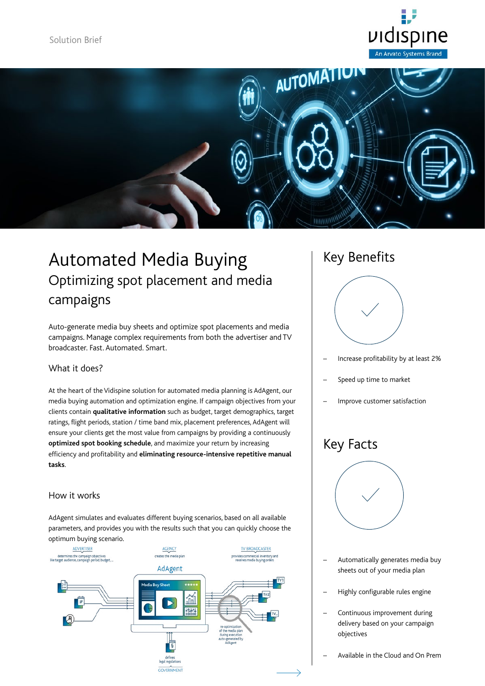



# Automated Media Buying Optimizing spot placement and media campaigns

Auto-generate media buy sheets and optimize spot placements and media campaigns. Manage complex requirements from both the advertiser and TV broadcaster. Fast. Automated. Smart.

### What it does?

At the heart of the Vidispine solution for automated media planning is AdAgent, our media buying automation and optimization engine. If campaign objectives from your clients contain **qualitative information** such as budget, target demographics, target ratings, flight periods, station / time band mix, placement preferences, AdAgent will ensure your clients get the most value from campaigns by providing a continuously **optimized spot booking schedule**, and maximize your return by increasing efficiency and profitability and **eliminating resource-intensive repetitive manual tasks**.

### How it works

AdAgent simulates and evaluates different buying scenarios, based on all available parameters, and provides you with the results such that you can quickly choose the optimum buying scenario.



### Key Benefits



- Increase profitability by at least 2%
- Speed up time to market
- Improve customer satisfaction

## Key Facts



- Automatically generates media buy sheets out of your media plan
- Highly configurable rules engine
- Continuous improvement during delivery based on your campaign objectives

– Available in the Cloud and On Prem